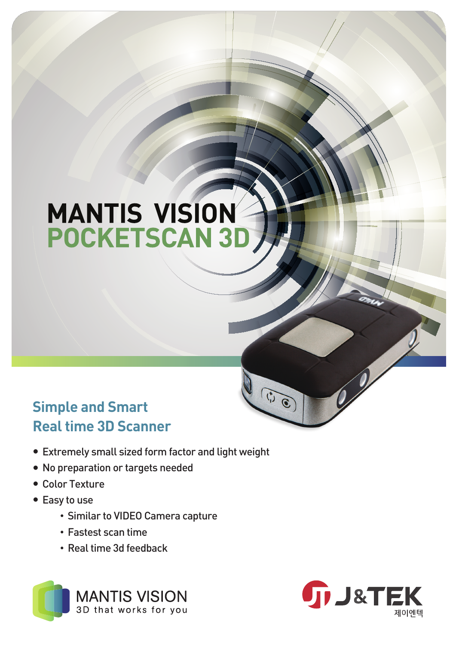# **MANTIS VISION POCKETSCAN 3D**

## Simple and Smart Real time 3D Scanner

- Extremely small sized form factor and light weight
- No preparation or targets needed
- Color Texture
- Easy to use
	- Similar to VIDEO Camera capture
	- Fastest scan time
	- Real time 3d feedback





 $\begin{pmatrix} 0 \\ 0 \end{pmatrix}$